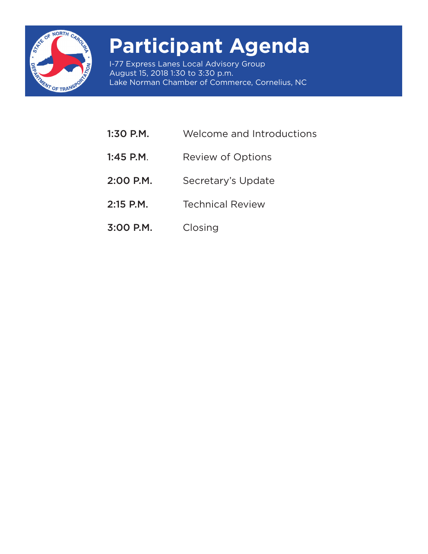

# **Participant Agenda**

I-77 Express Lanes Local Advisory Group August 15, 2018 1:30 to 3:30 p.m. Lake Norman Chamber of Commerce, Cornelius, NC

- 1:30 P.M. Welcome and Introductions
- 1:45 P.M. Review of Options
- 2:00 P.M. Secretary's Update
- 2:15 P.M. Technical Review
- 3:00 P.M. Closing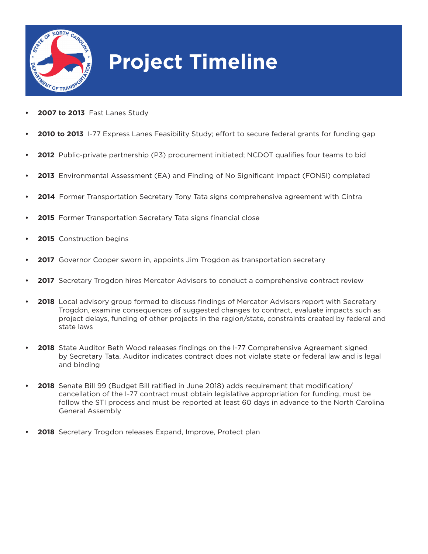

# **Project Timeline**

- **• 2007 to 2013** Fast Lanes Study
- **• 2010 to 2013** I-77 Express Lanes Feasibility Study; effort to secure federal grants for funding gap
- **• 2012** Public-private partnership (P3) procurement initiated; NCDOT qualifies four teams to bid
- **• 2013** Environmental Assessment (EA) and Finding of No Significant Impact (FONSI) completed
- **• 2014** Former Transportation Secretary Tony Tata signs comprehensive agreement with Cintra
- **• 2015** Former Transportation Secretary Tata signs financial close
- **• 2015** Construction begins
- **•• 2017** Governor Cooper sworn in, appoints Jim Trogdon as transportation secretary
- **• 2017** Secretary Trogdon hires Mercator Advisors to conduct a comprehensive contract review
- **• 2018** Local advisory group formed to discuss findings of Mercator Advisors report with Secretary Trogdon, examine consequences of suggested changes to contract, evaluate impacts such as project delays, funding of other projects in the region/state, constraints created by federal and state laws
- **• 2018** State Auditor Beth Wood releases findings on the I-77 Comprehensive Agreement signed by Secretary Tata. Auditor indicates contract does not violate state or federal law and is legal and binding
- **• 2018** Senate Bill 99 (Budget Bill ratified in June 2018) adds requirement that modification/ cancellation of the I-77 contract must obtain legislative appropriation for funding, must be follow the STI process and must be reported at least 60 days in advance to the North Carolina General Assembly
- **• 2018** Secretary Trogdon releases Expand, Improve, Protect plan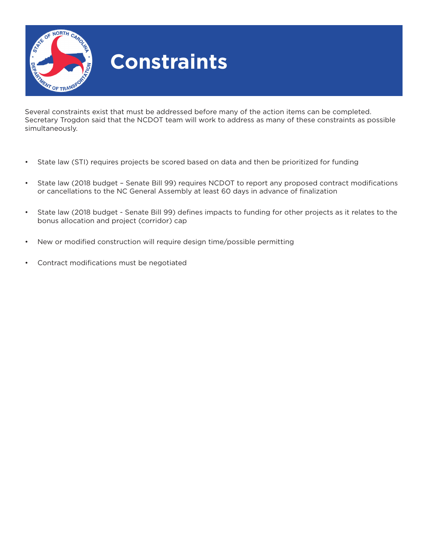

## **Constraints**

Several constraints exist that must be addressed before many of the action items can be completed. Secretary Trogdon said that the NCDOT team will work to address as many of these constraints as possible simultaneously.

- State law (STI) requires projects be scored based on data and then be prioritized for funding
- State law (2018 budget Senate Bill 99) requires NCDOT to report any proposed contract modifications or cancellations to the NC General Assembly at least 60 days in advance of finalization
- State law (2018 budget Senate Bill 99) defines impacts to funding for other projects as it relates to the bonus allocation and project (corridor) cap
- New or modified construction will require design time/possible permitting
- Contract modifications must be negotiated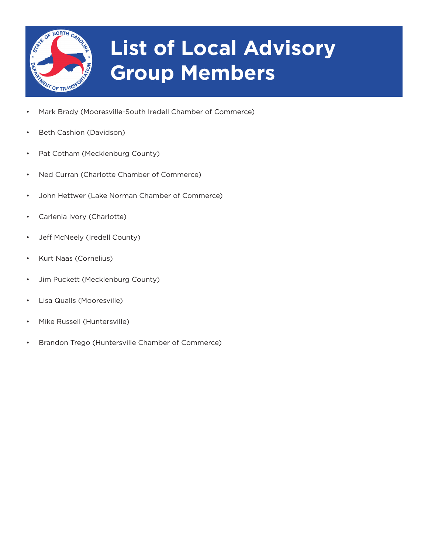

# **List of Local Advisory Group Members**

- Mark Brady (Mooresville-South Iredell Chamber of Commerce)
- Beth Cashion (Davidson)
- Pat Cotham (Mecklenburg County)
- Ned Curran (Charlotte Chamber of Commerce)
- John Hettwer (Lake Norman Chamber of Commerce)
- Carlenia Ivory (Charlotte)
- Jeff McNeely (Iredell County)
- Kurt Naas (Cornelius)
- Jim Puckett (Mecklenburg County)
- Lisa Qualls (Mooresville)
- Mike Russell (Huntersville)
- Brandon Trego (Huntersville Chamber of Commerce)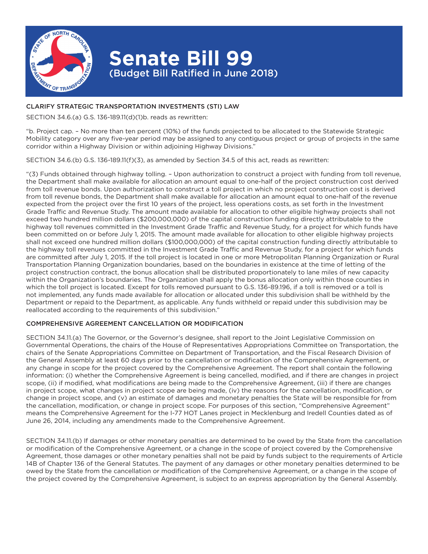

### **Senate Bill 99** (Budget Bill Ratified in June 2018)

### CLARIFY STRATEGIC TRANSPORTATION INVESTMENTS (STI) LAW

SECTION 34.6.(a) G.S. 136-189.11(d)(1)b. reads as rewritten:

"b. Project cap. – No more than ten percent (10%) of the funds projected to be allocated to the Statewide Strategic Mobility category over any five-year period may be assigned to any contiguous project or group of projects in the same corridor within a Highway Division or within adjoining Highway Divisions."

SECTION 34.6.(b) G.S. 136-189.11(f)(3), as amended by Section 34.5 of this act, reads as rewritten:

"(3) Funds obtained through highway tolling. – Upon authorization to construct a project with funding from toll revenue, the Department shall make available for allocation an amount equal to one-half of the project construction cost derived from toll revenue bonds. Upon authorization to construct a toll project in which no project construction cost is derived from toll revenue bonds, the Department shall make available for allocation an amount equal to one-half of the revenue expected from the project over the first 10 years of the project, less operations costs, as set forth in the Investment Grade Traffic and Revenue Study. The amount made available for allocation to other eligible highway projects shall not exceed two hundred million dollars (\$200,000,000) of the capital construction funding directly attributable to the highway toll revenues committed in the Investment Grade Traffic and Revenue Study, for a project for which funds have been committed on or before July 1, 2015. The amount made available for allocation to other eligible highway projects shall not exceed one hundred million dollars (\$100,000,000) of the capital construction funding directly attributable to the highway toll revenues committed in the Investment Grade Traffic and Revenue Study, for a project for which funds are committed after July 1, 2015. If the toll project is located in one or more Metropolitan Planning Organization or Rural Transportation Planning Organization boundaries, based on the boundaries in existence at the time of letting of the project construction contract, the bonus allocation shall be distributed proportionately to lane miles of new capacity within the Organization's boundaries. The Organization shall apply the bonus allocation only within those counties in which the toll project is located. Except for tolls removed pursuant to G.S. 136-89.196, if a toll is removed or a toll is not implemented, any funds made available for allocation or allocated under this subdivision shall be withheld by the Department or repaid to the Department, as applicable. Any funds withheld or repaid under this subdivision may be reallocated according to the requirements of this subdivision."

#### COMPREHENSIVE AGREEMENT CANCELLATION OR MODIFICATION

SECTION 34.11.(a) The Governor, or the Governor's designee, shall report to the Joint Legislative Commission on Governmental Operations, the chairs of the House of Representatives Appropriations Committee on Transportation, the chairs of the Senate Appropriations Committee on Department of Transportation, and the Fiscal Research Division of the General Assembly at least 60 days prior to the cancellation or modification of the Comprehensive Agreement, or any change in scope for the project covered by the Comprehensive Agreement. The report shall contain the following information: (i) whether the Comprehensive Agreement is being cancelled, modified, and if there are changes in project scope, (ii) if modified, what modifications are being made to the Comprehensive Agreement, (iii) if there are changes in project scope, what changes in project scope are being made, (iv) the reasons for the cancellation, modification, or change in project scope, and (v) an estimate of damages and monetary penalties the State will be responsible for from the cancellation, modification, or change in project scope. For purposes of this section, "Comprehensive Agreement" means the Comprehensive Agreement for the I-77 HOT Lanes project in Mecklenburg and Iredell Counties dated as of June 26, 2014, including any amendments made to the Comprehensive Agreement.

SECTION 34.11.(b) If damages or other monetary penalties are determined to be owed by the State from the cancellation or modification of the Comprehensive Agreement, or a change in the scope of project covered by the Comprehensive Agreement, those damages or other monetary penalties shall not be paid by funds subject to the requirements of Article 14B of Chapter 136 of the General Statutes. The payment of any damages or other monetary penalties determined to be owed by the State from the cancellation or modification of the Comprehensive Agreement, or a change in the scope of the project covered by the Comprehensive Agreement, is subject to an express appropriation by the General Assembly.